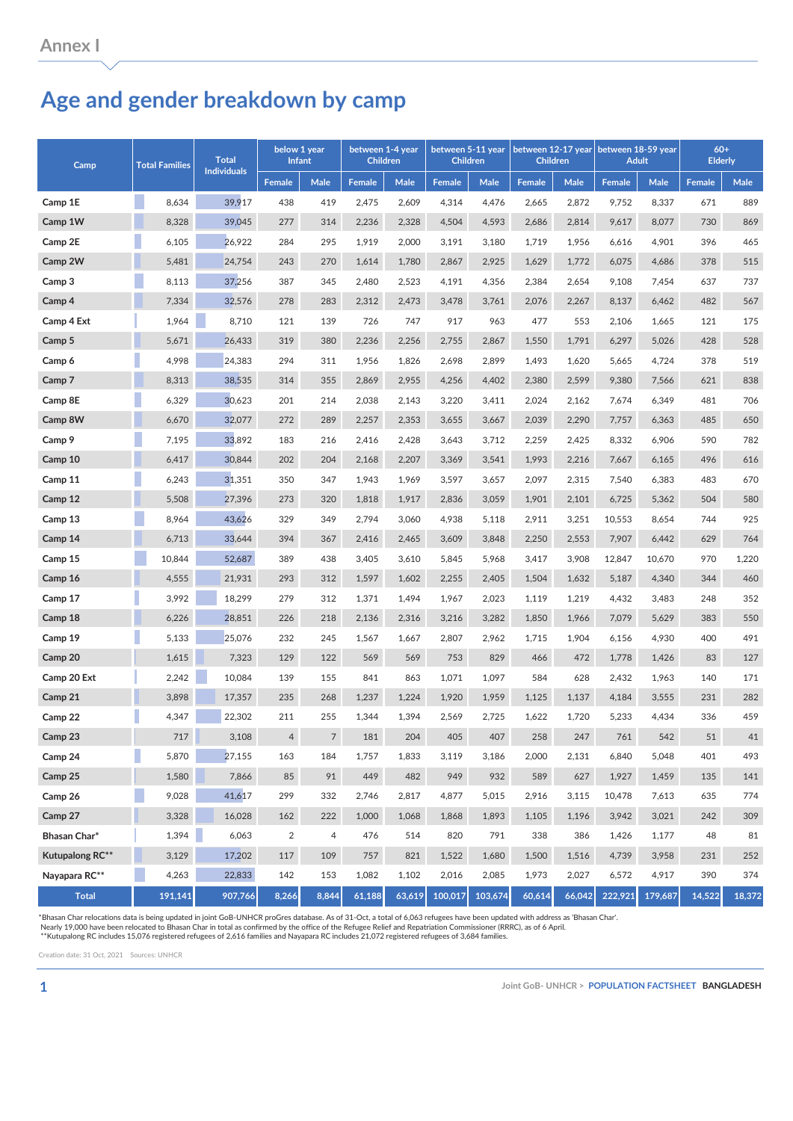## **Age and gender breakdown by camp**

| Camp            | <b>Total Families</b> | <b>Total</b><br><b>Individuals</b> | below 1 year<br><b>Infant</b> |       | between 1-4 year<br><b>Children</b> |        | between 5-11 year<br><b>Children</b> |             | between 12-17 year<br><b>Children</b> |             | between 18-59 year<br><b>Adult</b> |             | $60+$<br><b>Elderly</b> |             |
|-----------------|-----------------------|------------------------------------|-------------------------------|-------|-------------------------------------|--------|--------------------------------------|-------------|---------------------------------------|-------------|------------------------------------|-------------|-------------------------|-------------|
|                 |                       |                                    | <b>Female</b>                 | Male  | <b>Female</b>                       | Male   | Female                               | <b>Male</b> | <b>Female</b>                         | <b>Male</b> | <b>Female</b>                      | <b>Male</b> | <b>Female</b>           | <b>Male</b> |
| Camp 1E         | 8,634                 | 39,917                             | 438                           | 419   | 2,475                               | 2,609  | 4,314                                | 4,476       | 2,665                                 | 2,872       | 9,752                              | 8,337       | 671                     | 889         |
| Camp 1W         | 8,328                 | 39,045                             | 277                           | 314   | 2,236                               | 2,328  | 4,504                                | 4,593       | 2,686                                 | 2,814       | 9,617                              | 8,077       | 730                     | 869         |
| Camp 2E         | 6,105                 | 26,922                             | 284                           | 295   | 1,919                               | 2,000  | 3,191                                | 3,180       | 1,719                                 | 1,956       | 6,616                              | 4,901       | 396                     | 465         |
| Camp 2W         | 5,481                 | 24,754                             | 243                           | 270   | 1,614                               | 1,780  | 2,867                                | 2,925       | 1,629                                 | 1,772       | 6,075                              | 4,686       | 378                     | 515         |
| Camp 3          | 8,113                 | 37,256                             | 387                           | 345   | 2,480                               | 2,523  | 4,191                                | 4,356       | 2,384                                 | 2,654       | 9,108                              | 7,454       | 637                     | 737         |
| Camp 4          | 7,334                 | 32,576                             | 278                           | 283   | 2,312                               | 2,473  | 3,478                                | 3,761       | 2,076                                 | 2,267       | 8,137                              | 6,462       | 482                     | 567         |
| Camp 4 Ext      | 1,964                 | 8,710                              | 121                           | 139   | 726                                 | 747    | 917                                  | 963         | 477                                   | 553         | 2,106                              | 1,665       | 121                     | 175         |
| Camp 5          | 5,671                 | 26,433                             | 319                           | 380   | 2,236                               | 2,256  | 2,755                                | 2,867       | 1,550                                 | 1,791       | 6,297                              | 5,026       | 428                     | 528         |
| Camp 6          | 4,998                 | 24,383                             | 294                           | 311   | 1,956                               | 1,826  | 2,698                                | 2,899       | 1,493                                 | 1,620       | 5,665                              | 4,724       | 378                     | 519         |
| Camp 7          | 8,313                 | 38,535                             | 314                           | 355   | 2,869                               | 2,955  | 4,256                                | 4,402       | 2,380                                 | 2,599       | 9,380                              | 7,566       | 621                     | 838         |
| Camp 8E         | 6,329                 | 30.623                             | 201                           | 214   | 2,038                               | 2,143  | 3,220                                | 3,411       | 2,024                                 | 2,162       | 7,674                              | 6,349       | 481                     | 706         |
| Camp 8W         | 6,670                 | 32,077                             | 272                           | 289   | 2,257                               | 2,353  | 3,655                                | 3,667       | 2,039                                 | 2,290       | 7,757                              | 6,363       | 485                     | 650         |
| Camp 9          | 7,195                 | 33,892                             | 183                           | 216   | 2,416                               | 2,428  | 3,643                                | 3,712       | 2,259                                 | 2,425       | 8,332                              | 6,906       | 590                     | 782         |
| Camp 10         | 6,417                 | 30,844                             | 202                           | 204   | 2,168                               | 2,207  | 3,369                                | 3,541       | 1,993                                 | 2,216       | 7,667                              | 6,165       | 496                     | 616         |
| Camp 11         | 6,243                 | 31,351                             | 350                           | 347   | 1,943                               | 1,969  | 3,597                                | 3,657       | 2,097                                 | 2,315       | 7,540                              | 6,383       | 483                     | 670         |
| Camp 12         | 5,508                 | 27,396                             | 273                           | 320   | 1,818                               | 1,917  | 2,836                                | 3,059       | 1,901                                 | 2,101       | 6,725                              | 5,362       | 504                     | 580         |
| Camp 13         | 8,964                 | 43,626                             | 329                           | 349   | 2,794                               | 3,060  | 4,938                                | 5,118       | 2,911                                 | 3,251       | 10,553                             | 8,654       | 744                     | 925         |
| Camp 14         | 6,713                 | 33,644                             | 394                           | 367   | 2,416                               | 2,465  | 3,609                                | 3,848       | 2,250                                 | 2,553       | 7,907                              | 6,442       | 629                     | 764         |
| Camp 15         | 10,844                | 52,687                             | 389                           | 438   | 3,405                               | 3,610  | 5,845                                | 5,968       | 3,417                                 | 3,908       | 12,847                             | 10,670      | 970                     | 1,220       |
| Camp 16         | 4,555                 | 21,931                             | 293                           | 312   | 1,597                               | 1,602  | 2,255                                | 2,405       | 1,504                                 | 1,632       | 5,187                              | 4,340       | 344                     | 460         |
| Camp 17         | 3,992                 | 18,299                             | 279                           | 312   | 1,371                               | 1,494  | 1,967                                | 2,023       | 1,119                                 | 1,219       | 4,432                              | 3,483       | 248                     | 352         |
| Camp 18         | 6,226                 | 28,851                             | 226                           | 218   | 2,136                               | 2,316  | 3,216                                | 3,282       | 1,850                                 | 1,966       | 7,079                              | 5,629       | 383                     | 550         |
| Camp 19         | 5,133                 | 25,076                             | 232                           | 245   | 1,567                               | 1,667  | 2,807                                | 2,962       | 1,715                                 | 1,904       | 6,156                              | 4,930       | 400                     | 491         |
| Camp 20         | 1,615                 | 7,323                              | 129                           | 122   | 569                                 | 569    | 753                                  | 829         | 466                                   | 472         | 1,778                              | 1,426       | 83                      | 127         |
| Camp 20 Ext     | 2,242                 | 10,084                             | 139                           | 155   | 841                                 | 863    | 1,071                                | 1,097       | 584                                   | 628         | 2,432                              | 1,963       | 140                     | 171         |
| Camp 21         | 3,898                 | 17,357                             | 235                           | 268   | 1,237                               | 1,224  | 1,920                                | 1,959       | 1,125                                 | 1,137       | 4,184                              | 3,555       | 231                     | 282         |
| Camp 22         | 4,347                 | 22,302                             | 211                           | 255   | 1,344                               | 1,394  | 2,569                                | 2,725       | 1,622                                 | 1,720       | 5,233                              | 4,434       | 336                     | 459         |
| Camp 23         | 717                   | 3,108                              | 4                             | 7     | 181                                 | 204    | 405                                  | 407         | 258                                   | 247         | 761                                | 542         | 51                      | 41          |
| Camp 24         | l.<br>5,870           | 27,155                             | 163                           | 184   | 1,757                               | 1,833  | 3,119                                | 3,186       | 2,000                                 | 2,131       | 6,840                              | 5,048       | 401                     | 493         |
| Camp 25         | 1,580                 | 7,866                              | 85                            | 91    | 449                                 | 482    | 949                                  | 932         | 589                                   | 627         | 1,927                              | 1,459       | 135                     | 141         |
| Camp 26         | 9,028                 | 41,617                             | 299                           | 332   | 2,746                               | 2,817  | 4,877                                | 5,015       | 2,916                                 | 3,115       | 10,478                             | 7,613       | 635                     | 774         |
| Camp 27         | 3,328                 | 16,028                             | 162                           | 222   | 1,000                               | 1,068  | 1,868                                | 1,893       | 1,105                                 | 1,196       | 3,942                              | 3,021       | 242                     | 309         |
| Bhasan Char*    | 1,394                 | 6,063                              | $\overline{2}$                | 4     | 476                                 | 514    | 820                                  | 791         | 338                                   | 386         | 1,426                              | 1,177       | 48                      | 81          |
| Kutupalong RC** | 3,129                 | 17,202                             | 117                           | 109   | 757                                 | 821    | 1,522                                | 1,680       | 1,500                                 | 1,516       | 4,739                              | 3,958       | 231                     | 252         |
| Nayapara RC**   | 4,263                 | 22,833                             | 142                           | 153   | 1,082                               | 1,102  | 2,016                                | 2,085       | 1,973                                 | 2,027       | 6,572                              | 4,917       | 390                     | 374         |
| <b>Total</b>    | 191,141               | 907,766                            | 8,266                         | 8,844 | 61,188                              | 63,619 | 100,017                              | 103,674     | 60,614                                | 66,042      | 222,921                            | 179,687     | 14,522                  | 18,372      |

\*Bhasan Char relocations data is being updated in joint GoB-UNHCR proGres database. As of 31-Oct, a total of 6,063 refugees have been updated with address as 'Bhasan Char'.<br>Nearly 19,000 have been relocated to Bhasan Char

Creation date: 31 Oct, 2021 Sources: UNHCR

**1 Joint GoB- UNHCR > POPULATION FACTSHEET BANGLADESH**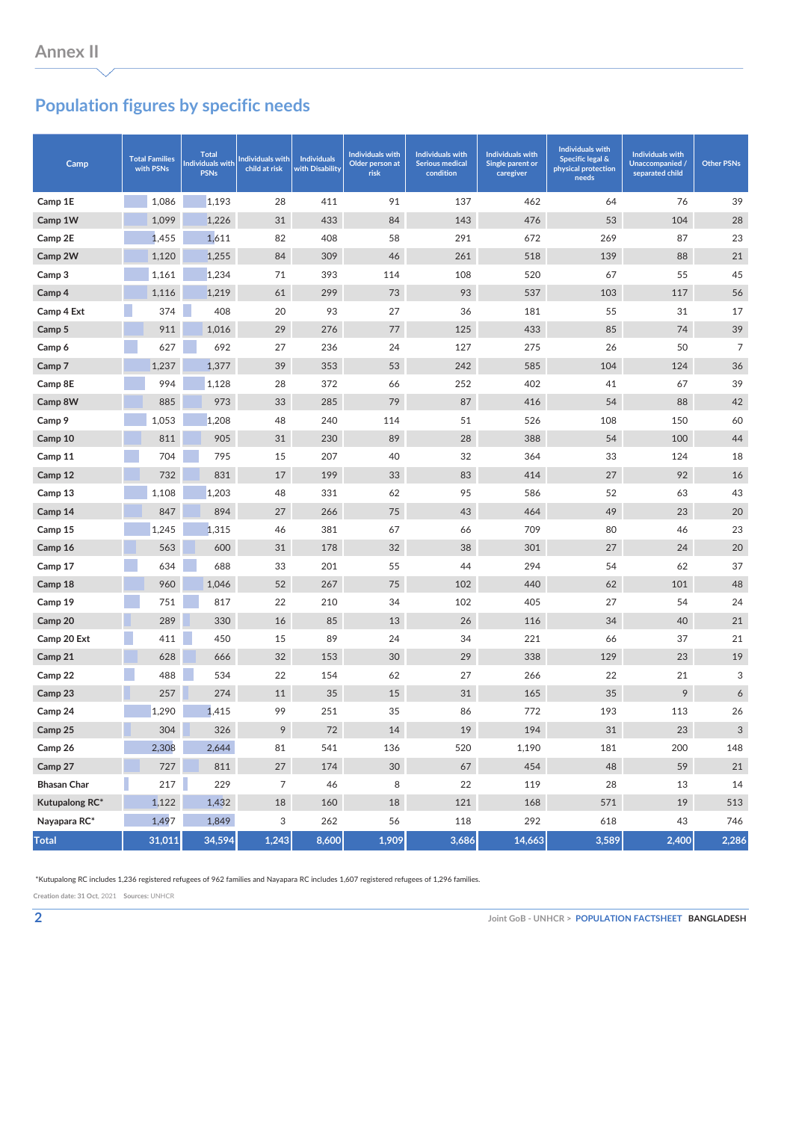## **Population figures by specific needs**

| Camp               | <b>Total Families</b><br>with PSNs | <b>Total</b><br><b>Individuals with</b><br><b>PSNs</b> | Individuals with<br>child at risk | <b>Individuals</b><br>with Disability | <b>Individuals with</b><br>Older person at<br>risk | <b>Individuals with</b><br><b>Serious medical</b><br>condition | <b>Individuals with</b><br>Single parent or<br>caregiver | <b>Individuals with</b><br><b>Specific legal &amp;</b><br>physical protection<br>needs | <b>Individuals with</b><br>Unaccompanied /<br>separated child | <b>Other PSNs</b> |
|--------------------|------------------------------------|--------------------------------------------------------|-----------------------------------|---------------------------------------|----------------------------------------------------|----------------------------------------------------------------|----------------------------------------------------------|----------------------------------------------------------------------------------------|---------------------------------------------------------------|-------------------|
| Camp 1E            | 1,086                              | 1,193                                                  | 28                                | 411                                   | 91                                                 | 137                                                            | 462                                                      | 64                                                                                     | 76                                                            | 39                |
| Camp 1W            | 1,099                              | 1,226                                                  | 31                                | 433                                   | 84                                                 | 143                                                            | 476                                                      | 53                                                                                     | 104                                                           | 28                |
| Camp 2E            | 1,455                              | 1,611                                                  | 82                                | 408                                   | 58                                                 | 291                                                            | 672                                                      | 269                                                                                    | 87                                                            | 23                |
| Camp 2W            | 1,120                              | 1,255                                                  | 84                                | 309                                   | 46                                                 | 261                                                            | 518                                                      | 139                                                                                    | 88                                                            | 21                |
| Camp 3             | 1,161                              | 1,234                                                  | 71                                | 393                                   | 114                                                | 108                                                            | 520                                                      | 67                                                                                     | 55                                                            | 45                |
| Camp 4             | 1,116                              | 1,219                                                  | 61                                | 299                                   | 73                                                 | 93                                                             | 537                                                      | 103                                                                                    | 117                                                           | 56                |
| Camp 4 Ext         | 374                                | 408                                                    | 20                                | 93                                    | 27                                                 | 36                                                             | 181                                                      | 55                                                                                     | 31                                                            | 17                |
| Camp 5             | 911                                | 1,016                                                  | 29                                | 276                                   | 77                                                 | 125                                                            | 433                                                      | 85                                                                                     | 74                                                            | 39                |
| Camp 6             | 627                                | 692                                                    | 27                                | 236                                   | 24                                                 | 127                                                            | 275                                                      | 26                                                                                     | 50                                                            | $\overline{7}$    |
| Camp 7             | 1,237                              | 1,377                                                  | 39                                | 353                                   | 53                                                 | 242                                                            | 585                                                      | 104                                                                                    | 124                                                           | 36                |
| Camp 8E            | 994                                | 1,128                                                  | 28                                | 372                                   | 66                                                 | 252                                                            | 402                                                      | 41                                                                                     | 67                                                            | 39                |
| Camp 8W            | 885                                | 973                                                    | 33                                | 285                                   | 79                                                 | 87                                                             | 416                                                      | 54                                                                                     | 88                                                            | 42                |
| Camp 9             | 1,053                              | 1,208                                                  | 48                                | 240                                   | 114                                                | 51                                                             | 526                                                      | 108                                                                                    | 150                                                           | 60                |
| Camp 10            | 811                                | 905                                                    | 31                                | 230                                   | 89                                                 | 28                                                             | 388                                                      | 54                                                                                     | 100                                                           | 44                |
| Camp 11            | 704                                | 795                                                    | 15                                | 207                                   | 40                                                 | 32                                                             | 364                                                      | 33                                                                                     | 124                                                           | 18                |
| Camp 12            | 732                                | 831                                                    | 17                                | 199                                   | 33                                                 | 83                                                             | 414                                                      | 27                                                                                     | 92                                                            | 16                |
| Camp 13            | 1,108                              | 1,203                                                  | 48                                | 331                                   | 62                                                 | 95                                                             | 586                                                      | 52                                                                                     | 63                                                            | 43                |
| Camp 14            | 847                                | 894                                                    | 27                                | 266                                   | 75                                                 | 43                                                             | 464                                                      | 49                                                                                     | 23                                                            | 20                |
| Camp 15            | 1,245                              | 1,315                                                  | 46                                | 381                                   | 67                                                 | 66                                                             | 709                                                      | 80                                                                                     | 46                                                            | 23                |
| Camp 16            | 563                                | 600                                                    | 31                                | 178                                   | 32                                                 | 38                                                             | 301                                                      | 27                                                                                     | 24                                                            | 20                |
| Camp 17            | 634                                | 688                                                    | 33                                | 201                                   | 55                                                 | 44                                                             | 294                                                      | 54                                                                                     | 62                                                            | 37                |
| Camp 18            | 960                                | 1,046                                                  | 52                                | 267                                   | 75                                                 | 102                                                            | 440                                                      | 62                                                                                     | 101                                                           | 48                |
| Camp 19            | 751                                | 817                                                    | 22                                | 210                                   | 34                                                 | 102                                                            | 405                                                      | 27                                                                                     | 54                                                            | 24                |
| Camp 20            | 289                                | 330                                                    | 16                                | 85                                    | 13                                                 | 26                                                             | 116                                                      | 34                                                                                     | 40                                                            | 21                |
| Camp 20 Ext        | 411                                | 450                                                    | 15                                | 89                                    | 24                                                 | 34                                                             | 221                                                      | 66                                                                                     | 37                                                            | 21                |
| Camp 21            | 628                                | 666                                                    | 32                                | 153                                   | 30                                                 | 29                                                             | 338                                                      | 129                                                                                    | 23                                                            | 19                |
| Camp 22            | 488                                | 534                                                    | 22                                | 154                                   | 62                                                 | 27                                                             | 266                                                      | 22                                                                                     | 21                                                            | 3                 |
| Camp 23            | 257                                | 274                                                    | 11                                | 35                                    | 15                                                 | 31                                                             | 165                                                      | 35                                                                                     | 9                                                             | 6                 |
| Camp 24            | 1,290                              | 1,415                                                  | 99                                | 251                                   | 35                                                 | 86                                                             | 772                                                      | 193                                                                                    | 113                                                           | 26                |
| Camp 25            | 304                                | 326                                                    | 9                                 | 72                                    | 14                                                 | 19                                                             | 194                                                      | 31                                                                                     | 23                                                            | 3                 |
| Camp 26            | 2,308                              | 2,644                                                  | 81                                | 541                                   | 136                                                | 520                                                            | 1,190                                                    | 181                                                                                    | 200                                                           | 148               |
| Camp 27            | 727                                | 811                                                    | $27\,$                            | 174                                   | 30 <sup>°</sup>                                    | 67                                                             | 454                                                      | 48                                                                                     | 59                                                            | 21                |
| <b>Bhasan Char</b> | 217                                | 229                                                    | 7                                 | 46                                    | 8                                                  | 22                                                             | 119                                                      | 28                                                                                     | 13                                                            | 14                |
| Kutupalong RC*     | 1,122                              | 1,432                                                  | 18                                | 160                                   | 18                                                 | 121                                                            | 168                                                      | 571                                                                                    | 19                                                            | 513               |
| Nayapara RC*       | 1,497                              | 1,849                                                  | 3                                 | 262                                   | 56                                                 | 118                                                            | 292                                                      | 618                                                                                    | 43                                                            | 746               |
| <b>Total</b>       | 31,011                             | 34,594                                                 | 1,243                             | 8,600                                 | 1,909                                              | 3,686                                                          | 14,663                                                   | 3,589                                                                                  | 2,400                                                         | 2,286             |

\*Kutupalong RC includes 1,236 registered refugees of 962 families and Nayapara RC includes 1,607 registered refugees of 1,296 families.

**Creation date: 31 Oct**, 2021 **Sources:** UNHCR